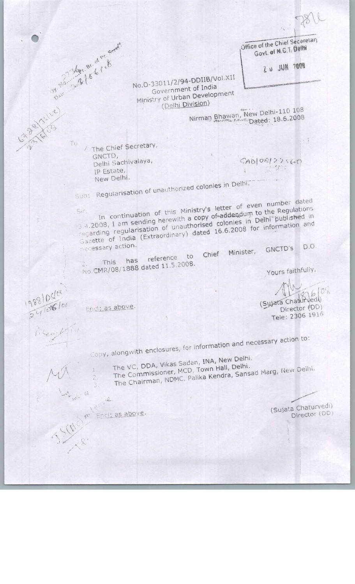$811$ 

 $\cdot$  1

Office of the Chief Seceretary Govt. of M.G.T. Delth

2 U JUN 7008

No.O-33011/2/94-DDIIB/Vol.XII Government of India Ministry of Urban Development (Delhi Division)

Nirman Bhawan, New Delhi-110 108

/ The Chief Secretary, GNCTD, Delhi Sachivalaya, IP Estate, New Delhi.

Date - On BY OF PY Speed

To

1988/0404

 $24108100$ 

 $GAD108122560$ **Command** 

Sub: Regularisation of unauthorized colonies in Delhi.

In continuation of this Ministry's letter of even number dated 3.4.2008, I am sending herewith a copy of addendum to the Regulations  $S_{1}r$ regarding regularisation of unauthorised colonies in Delhi published in Gazette of India (Extraordinary) dated 16.6.2008 for information and necessary action. D.O. GNCTD'S

Chief Minister, reference to This has No.CMR/08/1888 dated 11.5.2008.

Yours faithfully,

876/08 (Sujata Chaturvedt) Director (DD)

Tele: 2306 1916

Encl: as above.

Copy, alongwith enclosures, for information and necessary action to:

The VC, DDA, Vikas Sadan, INA, New Delhi.

- The Commissioner, MCD, Town Hall, Delhi. The Chairman, NDMC, Palika Kendra, Sansad Marg, New Delhi.
- 

Encl: as above.

11 4

(Sujata Chaturvedi) Director (DD)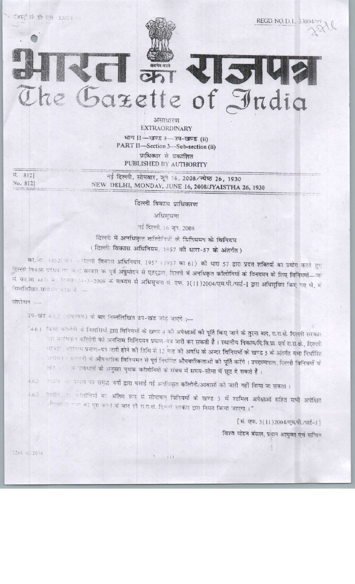

25

असाधारण **EXTRAORDINARY** भाग 11-7905 3-34-7905 (ii) PART II-Section 3-Sub-section (ii) प्राधिकार से प्रकाशित PUBLISHED BY AUTHORITY

e Gazette of India

सं. 812] No. 8121

जिस्ट्री संबंधी पहां - 33004 क

नई दिल्ली, सोमवार, जून 16, 2008/ज्येष्ठ 26, 1930 NEW DELHI, MONDAY, JUNE 16, 2008/JYAISTHA 26, 1930

दिल्ली विकास प्राधिकरण

अधिसचना

नई दिल्ली, 16 जून, 2008

दिल्ली में अनधिकृत कॉलोनियों के विनियमन के विनियम (दिल्ली विकास अधिनियम, 1957 की धारा-57 के अंतर्गत)

का.आ. 1452(अ) - दिल्ली विकास अधिनियम, 1957 (1957 का 61) की धारा 57 द्वारा प्रदत्त शक्तियों का प्रयोग करते हुए दिल्ली विकास प्राधिकरण चन्द्र सरकार के पूर्व अन्नुमोदन से एतद्वारा, दिल्ली में अनधिकृत कॉलोनियों के विनयमन के लिए विनियमों-जो सं. का.आ. 683(3): 1831 - 24-3-2008 के माध्यम से अधिसूचना सं. एफ. 3(11)2004/एम.पी./पार्ट-1 द्वारा अधिसूचित किए गए थे, में निम्नलिखित संशोधन करक है

#### संशोधन :-

उप-खंड 4.5.3 (असनवंध) को बाद निम्नलिखित उप-खंड जोड़े जाएंगे :-

"4.6। किमी कॉलोनी के निवासियों द्वारा विनियमों के खण्ड 4 की अ<mark>पेक्षाओं की पूर्ति किए जाने के तुरना बाद,</mark> स.रा.क्षे. दिल्ली सरकार उस अनधिकृत कॉलोनी को अ<mark>नन्तिम विनियमन प्रमाण-पत्र जारी कर सकती है। स्थानीय निकाय/दि.वि.प्रा. एवं रा.रा.क्षे., दिल्ली</mark> सरकार अवस्तिम प्रमाण-पत्र जारी होने की तिथि से 12 माह की अवधि के अन्दर विनियमों के खण्ड 5 के अंतर्गत यथा निर्धारित आधिक कालानी के <mark>औपचारिक विनियमन से पूर्व निर्धारित औपचारिकताओं को पूर्ति करेंगे । उपराज्यपाल, दिल्ली विनियमों के</mark> खड़ आ आवधानों को अनुसार पृथक कॉलोनियों के संबंध में समय-सीमा में छूट दे सकते हैं।

त्याणि जह प्रभाण पत्र समृद्ध वर्गों द्वारा बसाई गई अनधिकृत कॉलोनी/आवासों को जारी नहीं किया जा सकता ।  $4.6.2$ 

तथापि उन कॉलोनियों का अंतिम रूप से सीमांकन विनियमों के खण्ड 3 में शामिल अपेक्षाओं सहित सभी अपेक्षित  $4.6.3$ ी लगा व गण का पूरा करने के बाद ही रा.स.क्षे. दिल्ली सरकार द्वारा नियत किया जाएगा ।"

[सं. एफ. 3(11) 2004/एम.पी./पार्ट-1]

विश्वे मोहन बंसल, प्रधान आयुक्त एवं सचिव

2269 GL2008

 $\{i\}$